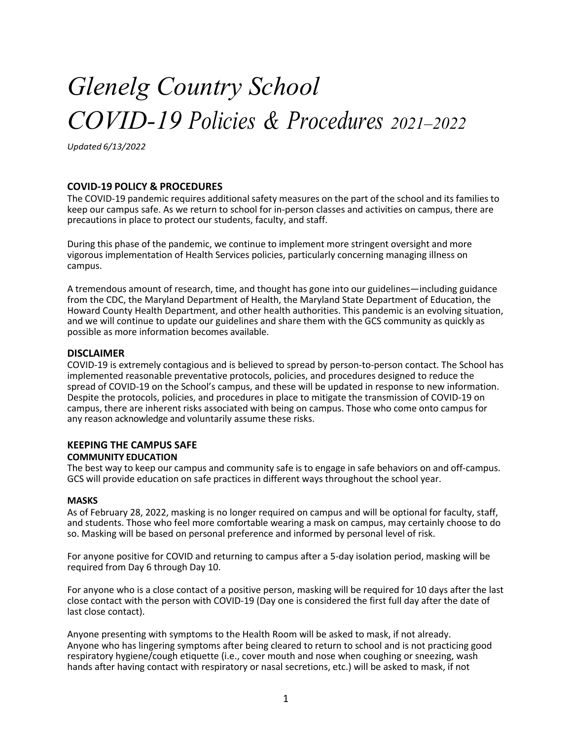# *Glenelg Country School COVID-19 Policies & Procedures 2021–2022*

*Updated 6/13/2022*

## **COVID-19 POLICY & PROCEDURES**

The COVID-19 pandemic requires additional safety measures on the part of the school and its families to keep our campus safe. As we return to school for in-person classes and activities on campus, there are precautions in place to protect our students, faculty, and staff.

During this phase of the pandemic, we continue to implement more stringent oversight and more vigorous implementation of Health Services policies, particularly concerning managing illness on campus.

A tremendous amount of research, time, and thought has gone into our guidelines—including guidance from the CDC, the Maryland Department of Health, the Maryland State Department of Education, the Howard County Health Department, and other health authorities. This pandemic is an evolving situation, and we will continue to update our guidelines and share them with the GCS community as quickly as possible as more information becomes available.

#### **DISCLAIMER**

COVID-19 is extremely contagious and is believed to spread by person-to-person contact. The School has implemented reasonable preventative protocols, policies, and procedures designed to reduce the spread of COVID-19 on the School's campus, and these will be updated in response to new information. Despite the protocols, policies, and procedures in place to mitigate the transmission of COVID-19 on campus, there are inherent risks associated with being on campus. Those who come onto campus for any reason acknowledge and voluntarily assume these risks.

#### **KEEPING THE CAMPUS SAFE COMMUNITY EDUCATION**

The best way to keep our campus and community safe is to engage in safe behaviors on and off-campus. GCS will provide education on safe practices in different ways throughout the school year.

#### **MASKS**

As of February 28, 2022, masking is no longer required on campus and will be optional for faculty, staff, and students. Those who feel more comfortable wearing a mask on campus, may certainly choose to do so. Masking will be based on personal preference and informed by personal level of risk.

For anyone positive for COVID and returning to campus after a 5-day isolation period, masking will be required from Day 6 through Day 10.

For anyone who is a close contact of a positive person, masking will be required for 10 days after the last close contact with the person with COVID-19 (Day one is considered the first full day after the date of last close contact).

Anyone presenting with symptoms to the Health Room will be asked to mask, if not already. Anyone who has lingering symptoms after being cleared to return to school and is not practicing good respiratory hygiene/cough etiquette (i.e., cover mouth and nose when coughing or sneezing, wash hands after having contact with respiratory or nasal secretions, etc.) will be asked to mask, if not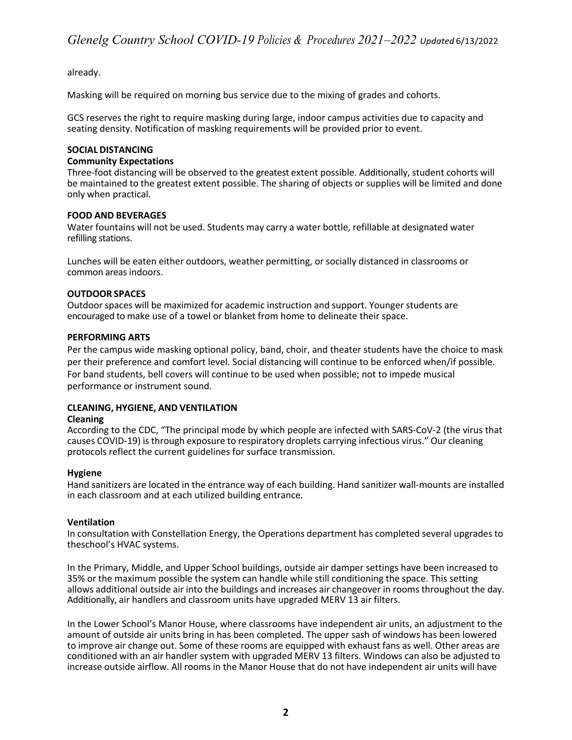## already.

Masking will be required on morning bus service due to the mixing of grades and cohorts.

GCS reserves the right to require masking during large, indoor campus activities due to capacity and seating density. Notification of masking requirements will be provided prior to event.

#### **SOCIAL DISTANCING**

#### **Community Expectations**

Three-foot distancing will be observed to the greatest extent possible. Additionally, student cohorts will be maintained to the greatest extent possible. The sharing of objects or supplies will be limited and done only when practical.

#### **FOOD AND BEVERAGES**

Water fountains will not be used. Students may carry a water bottle, refillable at designated water refilling stations.

Lunches will be eaten either outdoors, weather permitting, or socially distanced in classrooms or common areas indoors.

#### **OUTDOOR SPACES**

Outdoor spaces will be maximized for academic instruction and support. Younger students are encouraged to make use of a towel or blanket from home to delineate their space.

#### **PERFORMING ARTS**

Per the campus wide masking optional policy, band, choir, and theater students have the choice to mask per their preference and comfort level. Social distancing will continue to be enforced when/if possible. For band students, bell covers will continue to be used when possible; not to impede musical performance or instrument sound.

#### **CLEANING, HYGIENE, AND VENTILATION**

#### **Cleaning**

According to the CDC, "The principal mode by which people are infected with SARS-CoV-2 (the virus that causes COVID-19) is through exposure to respiratory droplets carrying infectious virus." Our cleaning protocols reflect the current guidelines for surface transmission.

#### **Hygiene**

Hand sanitizers are located in the entrance way of each building. Hand sanitizer wall-mounts are installed in each classroom and at each utilized building entrance.

#### **Ventilation**

In consultation with Constellation Energy, the Operations department has completed several upgrades to theschool's HVAC systems.

In the Primary, Middle, and Upper School buildings, outside air damper settings have been increased to 35% or the maximum possible the system can handle while still conditioning the space. This setting allows additional outside air into the buildings and increases air changeover in rooms throughout the day. Additionally, air handlers and classroom units have upgraded MERV 13 air filters.

In the Lower School's Manor House, where classrooms have independent air units, an adjustment to the amount of outside air units bring in has been completed. The upper sash of windows has been lowered to improve air change out. Some of these rooms are equipped with exhaust fans as well. Other areas are conditioned with an air handler system with upgraded MERV 13 filters. Windows can also be adjusted to increase outside airflow. All rooms in the Manor House that do not have independent air units will have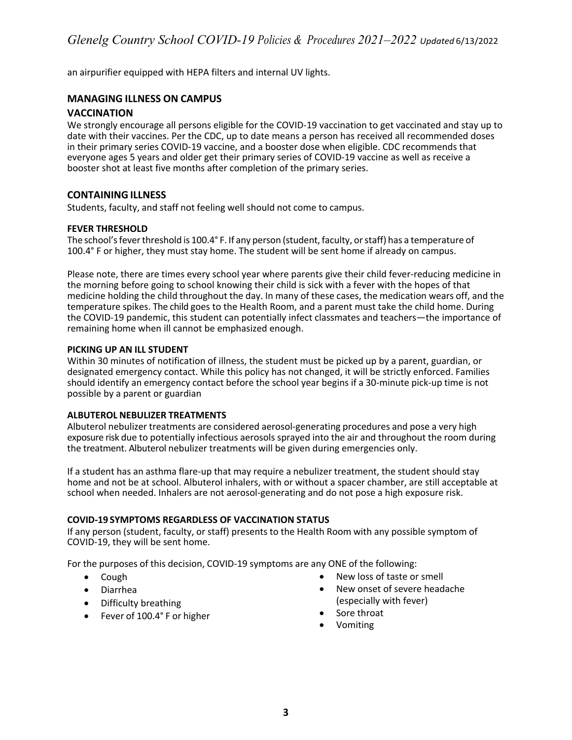an airpurifier equipped with HEPA filters and internal UV lights.

## **MANAGING ILLNESS ON CAMPUS**

#### **VACCINATION**

We strongly encourage all persons eligible for the COVID-19 vaccination to get vaccinated and stay up to date with their vaccines. Per the CDC, up to date means a person has received all recommended doses in their primary series COVID-19 vaccine, and a booster dose when eligible. CDC recommends that everyone ages 5 years and older get their primary series of COVID-19 vaccine as well as receive a booster shot at least five months after completion of the primary series.

## **CONTAINING ILLNESS**

Students, faculty, and staff not feeling well should not come to campus.

#### **FEVER THRESHOLD**

The school's fever threshold is 100.4° F. If any person (student, faculty, or staff) has a temperature of 100.4° F or higher, they must stay home. The student will be sent home if already on campus.

Please note, there are times every school year where parents give their child fever-reducing medicine in the morning before going to school knowing their child is sick with a fever with the hopes of that medicine holding the child throughout the day. In many of these cases, the medication wears off, and the temperature spikes. The child goes to the Health Room, and a parent must take the child home. During the COVID-19 pandemic, this student can potentially infect classmates and teachers—the importance of remaining home when ill cannot be emphasized enough.

#### **PICKING UP AN ILL STUDENT**

Within 30 minutes of notification of illness, the student must be picked up by a parent, guardian, or designated emergency contact. While this policy has not changed, it will be strictly enforced. Families should identify an emergency contact before the school year begins if a 30-minute pick-up time is not possible by a parent or guardian

#### **ALBUTEROL NEBULIZER TREATMENTS**

Albuterol nebulizer treatments are considered aerosol-generating procedures and pose a very high exposure risk due to potentially infectious aerosols sprayed into the air and throughout the room during the treatment. Albuterol nebulizer treatments will be given during emergencies only.

If a student has an asthma flare-up that may require a nebulizer treatment, the student should stay home and not be at school. Albuterol inhalers, with or without a spacer chamber, are still acceptable at school when needed. Inhalers are not aerosol-generating and do not pose a high exposure risk.

#### **COVID-19 SYMPTOMS REGARDLESS OF VACCINATION STATUS**

If any person (student, faculty, or staff) presents to the Health Room with any possible symptom of COVID-19, they will be sent home.

For the purposes of this decision, COVID-19 symptoms are any ONE of the following:

- Cough
- Diarrhea
- Difficulty breathing
- Fever of 100.4° F or higher
- New loss of taste or smell
- New onset of severe headache (especially with fever)
- Sore throat
- Vomiting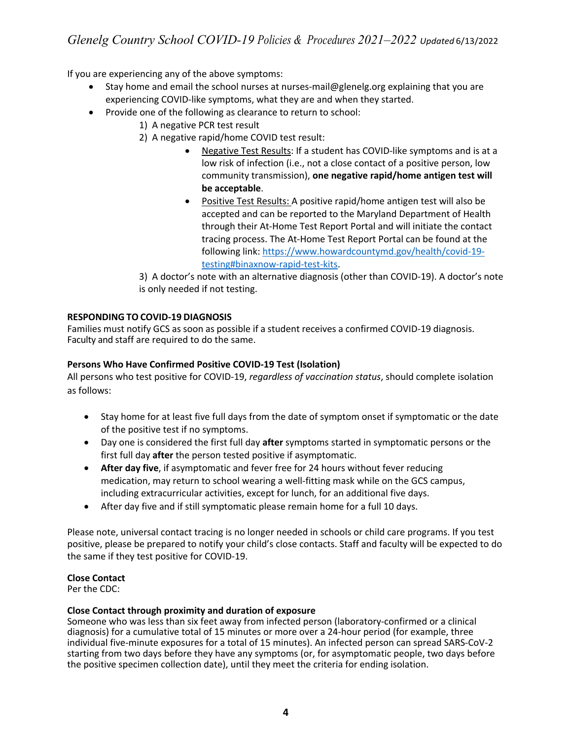If you are experiencing any of the above symptoms:

- Stay home and email the school nurses at nurses-mail@glenelg.org explaining that you are experiencing COVID-like symptoms, what they are and when they started.
- Provide one of the following as clearance to return to school:
	- 1) A negative PCR test result
	- 2) A negative rapid/home COVID test result:
		- Negative Test Results: If a student has COVID-like symptoms and is at a low risk of infection (i.e., not a close contact of a positive person, low community transmission), **one negative rapid/home antigen test will be acceptable**.
		- Positive Test Results: A positive rapid/home antigen test will also be accepted and can be reported to the Maryland Department of Health through their At-Home Test Report Portal and will initiate the contact tracing process. The At-Home Test Report Portal can be found at the following link: https://www.howardcountymd.gov/health/covid-19 testing#binaxnow-rapid-test-kits.

3) A doctor's note with an alternative diagnosis (other than COVID-19). A doctor's note is only needed if not testing.

# **RESPONDING TO COVID-19 DIAGNOSIS**

Families must notify GCS as soon as possible if a student receives a confirmed COVID-19 diagnosis. Faculty and staff are required to do the same.

# **Persons Who Have Confirmed Positive COVID-19 Test (Isolation)**

All persons who test positive for COVID-19, *regardless of vaccination status*, should complete isolation as follows:

- Stay home for at least five full days from the date of symptom onset if symptomatic or the date of the positive test if no symptoms.
- Day one is considered the first full day **after** symptoms started in symptomatic persons or the first full day **after** the person tested positive if asymptomatic.
- **After day five**, if asymptomatic and fever free for 24 hours without fever reducing medication, may return to school wearing a well-fitting mask while on the GCS campus, including extracurricular activities, except for lunch, for an additional five days.
- After day five and if still symptomatic please remain home for a full 10 days.

Please note, universal contact tracing is no longer needed in schools or child care programs. If you test positive, please be prepared to notify your child's close contacts. Staff and faculty will be expected to do the same if they test positive for COVID-19.

# **Close Contact**

Per the CDC:

# **Close Contact through proximity and duration of exposure**

Someone who was less than six feet away from infected person (laboratory-confirmed or a clinical diagnosis) for a cumulative total of 15 minutes or more over a 24-hour period (for example, three individual five-minute exposures for a total of 15 minutes). An infected person can spread SARS-CoV-2 starting from two days before they have any symptoms (or, for asymptomatic people, two days before the positive specimen collection date), until they meet the criteria for ending isolation.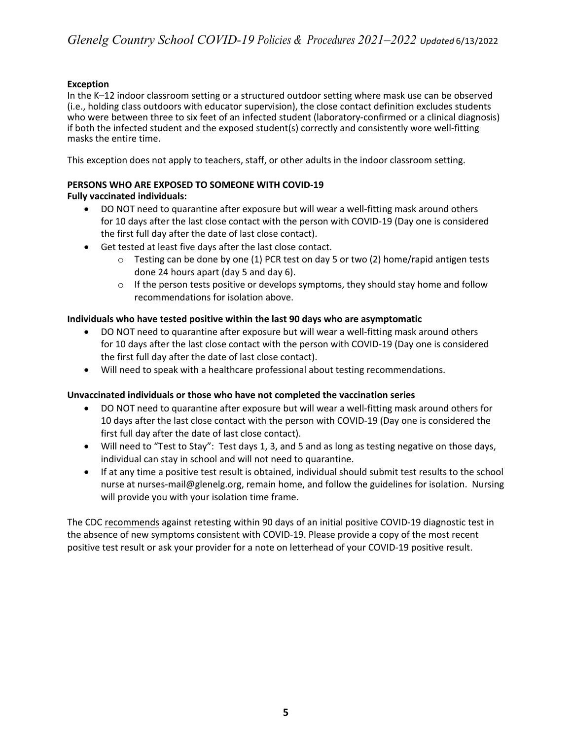# **Exception**

In the K–12 indoor classroom setting or a structured outdoor setting where mask use can be observed (i.e., holding class outdoors with educator supervision), the close contact definition excludes students who were between three to six feet of an infected student (laboratory-confirmed or a clinical diagnosis) if both the infected student and the exposed student(s) correctly and consistently wore well-fitting masks the entire time.

This exception does not apply to teachers, staff, or other adults in the indoor classroom setting.

# **PERSONS WHO ARE EXPOSED TO SOMEONE WITH COVID-19**

# **Fully vaccinated individuals:**

- DO NOT need to quarantine after exposure but will wear a well-fitting mask around others for 10 days after the last close contact with the person with COVID-19 (Day one is considered the first full day after the date of last close contact).
- Get tested at least five days after the last close contact.
	- $\circ$  Testing can be done by one (1) PCR test on day 5 or two (2) home/rapid antigen tests done 24 hours apart (day 5 and day 6).
	- $\circ$  If the person tests positive or develops symptoms, they should stay home and follow recommendations for isolation above.

# **Individuals who have tested positive within the last 90 days who are asymptomatic**

- DO NOT need to quarantine after exposure but will wear a well-fitting mask around others for 10 days after the last close contact with the person with COVID-19 (Day one is considered the first full day after the date of last close contact).
- Will need to speak with a healthcare professional about testing recommendations.

# **Unvaccinated individuals or those who have not completed the vaccination series**

- DO NOT need to quarantine after exposure but will wear a well-fitting mask around others for 10 days after the last close contact with the person with COVID-19 (Day one is considered the first full day after the date of last close contact).
- Will need to "Test to Stay": Test days 1, 3, and 5 and as long as testing negative on those days, individual can stay in school and will not need to quarantine.
- If at any time a positive test result is obtained, individual should submit test results to the school nurse at nurses-mail@glenelg.org, remain home, and follow the guidelines for isolation. Nursing will provide you with your isolation time frame.

The CDC recommends against retesting within 90 days of an initial positive COVID-19 diagnostic test in the absence of new symptoms consistent with COVID-19. Please provide a copy of the most recent positive test result or ask your provider for a note on letterhead of your COVID-19 positive result.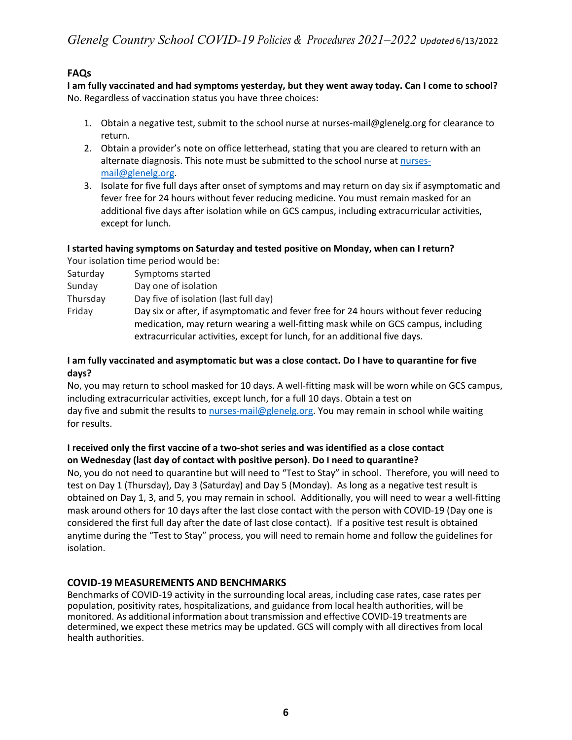# **FAQs**

**I am fully vaccinated and had symptoms yesterday, but they went away today. Can I come to school?** No. Regardless of vaccination status you have three choices:

- 1. Obtain a negative test, submit to the school nurse at nurses-mail@glenelg.org for clearance to return.
- 2. Obtain a provider's note on office letterhead, stating that you are cleared to return with an alternate diagnosis. This note must be submitted to the school nurse at nursesmail@glenelg.org.
- 3. Isolate for five full days after onset of symptoms and may return on day six if asymptomatic and fever free for 24 hours without fever reducing medicine. You must remain masked for an additional five days after isolation while on GCS campus, including extracurricular activities, except for lunch.

# **I started having symptoms on Saturday and tested positive on Monday, when can I return?**

Your isolation time period would be:

- Saturday Symptoms started
- Sunday Day one of isolation
- Thursday Day five of isolation (last full day)
- Friday Day six or after, if asymptomatic and fever free for 24 hours without fever reducing medication, may return wearing a well-fitting mask while on GCS campus, including extracurricular activities, except for lunch, for an additional five days.

# **I am fully vaccinated and asymptomatic but was a close contact. Do I have to quarantine for five days?**

No, you may return to school masked for 10 days. A well-fitting mask will be worn while on GCS campus, including extracurricular activities, except lunch, for a full 10 days. Obtain a test on day five and submit the results to nurses-mail@glenelg.org. You may remain in school while waiting for results.

# **I received only the first vaccine of a two-shot series and was identified as a close contact on Wednesday (last day of contact with positive person). Do I need to quarantine?**

No, you do not need to quarantine but will need to "Test to Stay" in school. Therefore, you will need to test on Day 1 (Thursday), Day 3 (Saturday) and Day 5 (Monday). As long as a negative test result is obtained on Day 1, 3, and 5, you may remain in school. Additionally, you will need to wear a well-fitting mask around others for 10 days after the last close contact with the person with COVID-19 (Day one is considered the first full day after the date of last close contact). If a positive test result is obtained anytime during the "Test to Stay" process, you will need to remain home and follow the guidelines for isolation.

# **COVID-19 MEASUREMENTS AND BENCHMARKS**

Benchmarks of COVID-19 activity in the surrounding local areas, including case rates, case rates per population, positivity rates, hospitalizations, and guidance from local health authorities, will be monitored. As additional information about transmission and effective COVID-19 treatments are determined, we expect these metrics may be updated. GCS will comply with all directives from local health authorities.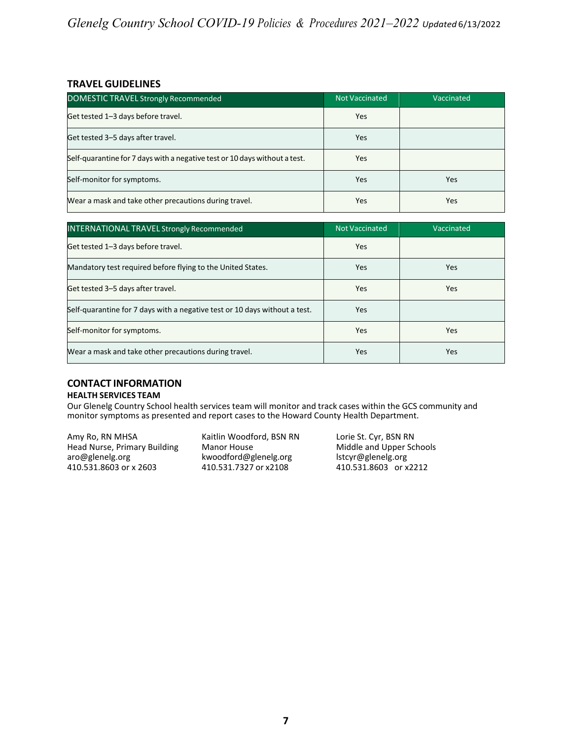# **TRAVEL GUIDELINES**

| DOMESTIC TRAVEL Strongly Recommended                                       | Not Vaccinated | Vaccinated |
|----------------------------------------------------------------------------|----------------|------------|
| Get tested 1–3 days before travel.                                         | Yes            |            |
| Get tested 3-5 days after travel.                                          | Yes            |            |
| Self-quarantine for 7 days with a negative test or 10 days without a test. | Yes            |            |
| Self-monitor for symptoms.                                                 | Yes            | Yes        |
| Wear a mask and take other precautions during travel.                      | Yes            | Yes        |

| <b>INTERNATIONAL TRAVEL Strongly Recommended</b>                           | Not Vaccinated | Vaccinated |
|----------------------------------------------------------------------------|----------------|------------|
| Get tested 1–3 days before travel.                                         | Yes            |            |
| Mandatory test required before flying to the United States.                | Yes            | Yes        |
| Get tested 3-5 days after travel.                                          | Yes            | Yes        |
| Self-quarantine for 7 days with a negative test or 10 days without a test. | Yes            |            |
| Self-monitor for symptoms.                                                 | Yes            | Yes        |
| Wear a mask and take other precautions during travel.                      | Yes            | Yes        |

# **CONTACT INFORMATION**

#### **HEALTH SERVICES TEAM**

Our Glenelg Country School health services team will monitor and track cases within the GCS community and monitor symptoms as presented and report cases to the Howard County Health Department.

Amy Ro, RN MHSA **Kaitlin Woodford, BSN RN** Lorie St. Cyr, BSN RN Head Nurse, Primary Building Manor House Middle and Upper Schools Head Nurse, Primary Building Manor House Middle and Upper Saro@glenelg.org background Middle and Upper Saro kwoodford@glenelg.org lstcyr@glenelg.org<br>410.531.7327 or x2108 410.531.8603 or x2212 410.531.8603 or x 2603